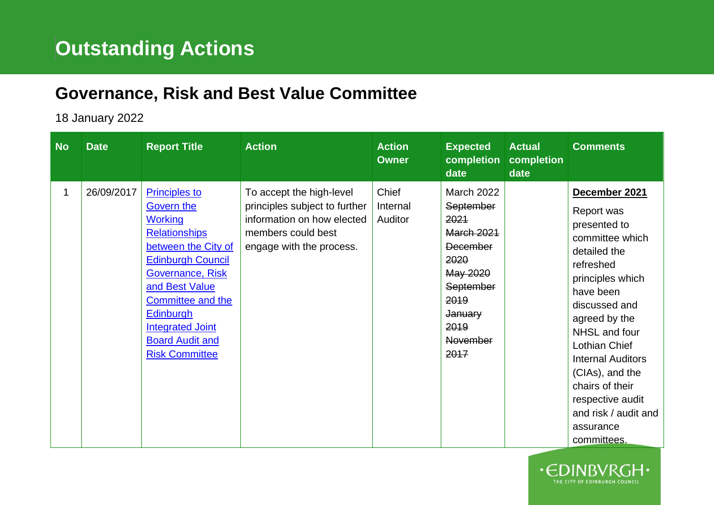## **Governance, Risk and Best Value Committee**

## 18 January 2022

| <b>No</b> | <b>Date</b> | <b>Report Title</b>                                                                                                                                                                                                                                                                          | <b>Action</b>                                                                                                                             | <b>Action</b><br><b>Owner</b> | <b>Expected</b><br>completion<br>date                                                                                                                                        | <b>Actual</b><br>completion<br>date | <b>Comments</b>                                                                                                                                                                                                                                                                                                                            |
|-----------|-------------|----------------------------------------------------------------------------------------------------------------------------------------------------------------------------------------------------------------------------------------------------------------------------------------------|-------------------------------------------------------------------------------------------------------------------------------------------|-------------------------------|------------------------------------------------------------------------------------------------------------------------------------------------------------------------------|-------------------------------------|--------------------------------------------------------------------------------------------------------------------------------------------------------------------------------------------------------------------------------------------------------------------------------------------------------------------------------------------|
| 1         | 26/09/2017  | <b>Principles to</b><br>Govern the<br><b>Working</b><br><b>Relationships</b><br>between the City of<br><b>Edinburgh Council</b><br>Governance, Risk<br>and Best Value<br>Committee and the<br><b>Edinburgh</b><br><b>Integrated Joint</b><br><b>Board Audit and</b><br><b>Risk Committee</b> | To accept the high-level<br>principles subject to further<br>information on how elected<br>members could best<br>engage with the process. | Chief<br>Internal<br>Auditor  | March 2022<br><b>September</b><br>2021<br><b>March 2021</b><br><b>December</b><br>2020<br>May 2020<br>September<br>2019<br><b>January</b><br>2019<br><b>November</b><br>2017 |                                     | December 2021<br>Report was<br>presented to<br>committee which<br>detailed the<br>refreshed<br>principles which<br>have been<br>discussed and<br>agreed by the<br>NHSL and four<br>Lothian Chief<br><b>Internal Auditors</b><br>(CIAs), and the<br>chairs of their<br>respective audit<br>and risk / audit and<br>assurance<br>committees. |

**HE CITY OF EDINBURGH COUNCI**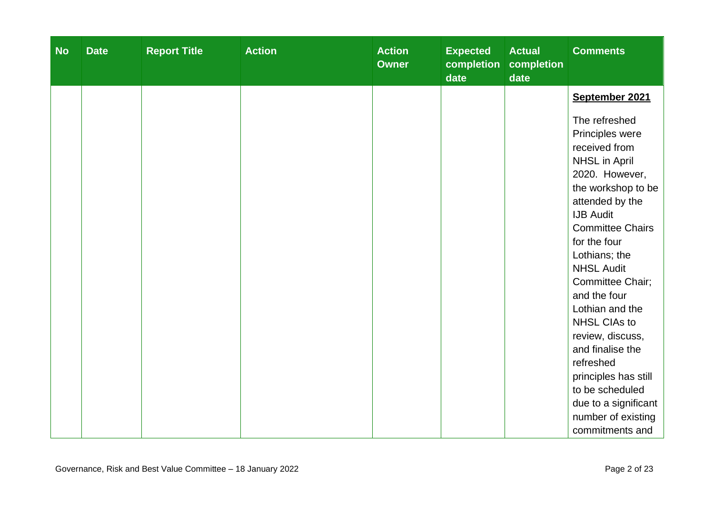| <b>No</b> | <b>Date</b> | <b>Report Title</b> | <b>Action</b> | <b>Action</b><br><b>Owner</b> | <b>Expected</b><br>completion<br>date | <b>Actual</b><br>completion<br>date | <b>Comments</b>                                                                                                                                                                                                                                                                                                                                                                                                                                                                          |
|-----------|-------------|---------------------|---------------|-------------------------------|---------------------------------------|-------------------------------------|------------------------------------------------------------------------------------------------------------------------------------------------------------------------------------------------------------------------------------------------------------------------------------------------------------------------------------------------------------------------------------------------------------------------------------------------------------------------------------------|
|           |             |                     |               |                               |                                       |                                     | September 2021                                                                                                                                                                                                                                                                                                                                                                                                                                                                           |
|           |             |                     |               |                               |                                       |                                     | The refreshed<br>Principles were<br>received from<br><b>NHSL in April</b><br>2020. However,<br>the workshop to be<br>attended by the<br><b>IJB Audit</b><br><b>Committee Chairs</b><br>for the four<br>Lothians; the<br><b>NHSL Audit</b><br>Committee Chair;<br>and the four<br>Lothian and the<br><b>NHSL CIAs to</b><br>review, discuss,<br>and finalise the<br>refreshed<br>principles has still<br>to be scheduled<br>due to a significant<br>number of existing<br>commitments and |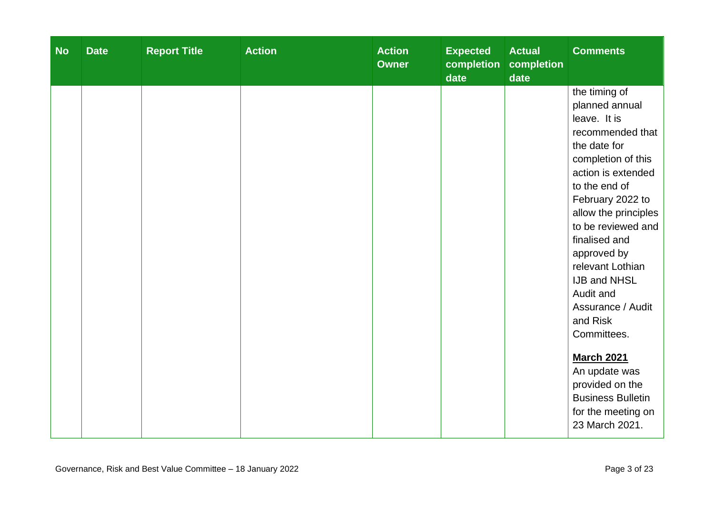| <b>No</b> | <b>Date</b> | <b>Report Title</b> | <b>Action</b> | <b>Action</b><br><b>Owner</b> | <b>Expected</b><br>completion<br>date | <b>Actual</b><br>completion<br>date | <b>Comments</b>                                                                                                                                                                                                                                                                                                                                                                                                                                                       |
|-----------|-------------|---------------------|---------------|-------------------------------|---------------------------------------|-------------------------------------|-----------------------------------------------------------------------------------------------------------------------------------------------------------------------------------------------------------------------------------------------------------------------------------------------------------------------------------------------------------------------------------------------------------------------------------------------------------------------|
|           |             |                     |               |                               |                                       |                                     | the timing of<br>planned annual<br>leave. It is<br>recommended that<br>the date for<br>completion of this<br>action is extended<br>to the end of<br>February 2022 to<br>allow the principles<br>to be reviewed and<br>finalised and<br>approved by<br>relevant Lothian<br><b>IJB and NHSL</b><br>Audit and<br>Assurance / Audit<br>and Risk<br>Committees.<br><b>March 2021</b><br>An update was<br>provided on the<br><b>Business Bulletin</b><br>for the meeting on |
|           |             |                     |               |                               |                                       |                                     | 23 March 2021.                                                                                                                                                                                                                                                                                                                                                                                                                                                        |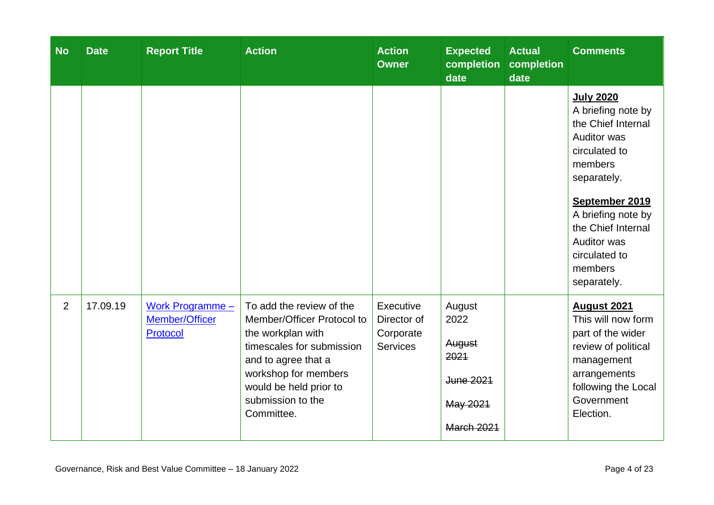| <b>No</b> | <b>Date</b> | <b>Report Title</b>                              | <b>Action</b>                                                                                                                                                                                                        | <b>Action</b><br><b>Owner</b>                            | <b>Expected</b><br>completion<br>date                                          | <b>Actual</b><br>completion<br>date | <b>Comments</b>                                                                                                                                                                                                                                              |
|-----------|-------------|--------------------------------------------------|----------------------------------------------------------------------------------------------------------------------------------------------------------------------------------------------------------------------|----------------------------------------------------------|--------------------------------------------------------------------------------|-------------------------------------|--------------------------------------------------------------------------------------------------------------------------------------------------------------------------------------------------------------------------------------------------------------|
|           |             |                                                  |                                                                                                                                                                                                                      |                                                          |                                                                                |                                     | <b>July 2020</b><br>A briefing note by<br>the Chief Internal<br><b>Auditor was</b><br>circulated to<br>members<br>separately.<br>September 2019<br>A briefing note by<br>the Chief Internal<br><b>Auditor was</b><br>circulated to<br>members<br>separately. |
| 2         | 17.09.19    | Work Programme $-$<br>Member/Officer<br>Protocol | To add the review of the<br>Member/Officer Protocol to<br>the workplan with<br>timescales for submission<br>and to agree that a<br>workshop for members<br>would be held prior to<br>submission to the<br>Committee. | Executive<br>Director of<br>Corporate<br><b>Services</b> | August<br>2022<br>August<br>2021<br>June 2021<br>May 2021<br><b>March 2021</b> |                                     | August 2021<br>This will now form<br>part of the wider<br>review of political<br>management<br>arrangements<br>following the Local<br>Government<br>Election.                                                                                                |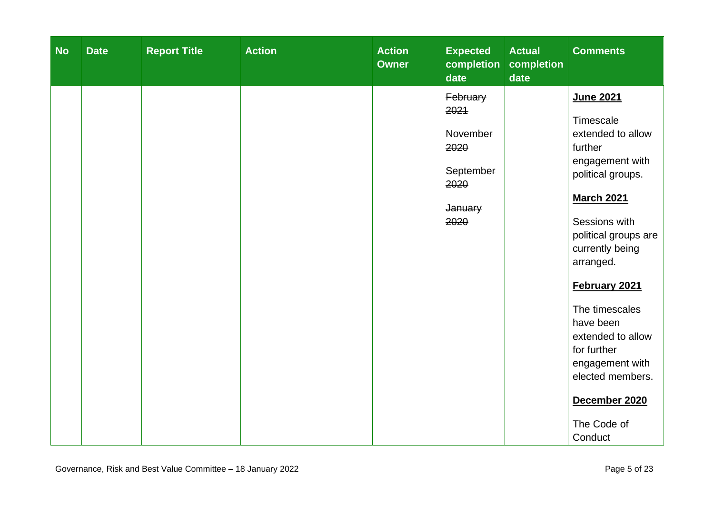| <b>No</b> | <b>Date</b> | <b>Report Title</b> | <b>Action</b> | <b>Action</b><br><b>Owner</b> | <b>Expected</b><br>completion<br>date                                        | <b>Actual</b><br>completion<br>date | <b>Comments</b>                                                                                                                                                                                                                                                                                                                                                    |
|-----------|-------------|---------------------|---------------|-------------------------------|------------------------------------------------------------------------------|-------------------------------------|--------------------------------------------------------------------------------------------------------------------------------------------------------------------------------------------------------------------------------------------------------------------------------------------------------------------------------------------------------------------|
|           |             |                     |               |                               | February<br>2021<br>November<br>2020<br>September<br>2020<br>January<br>2020 |                                     | June 2021<br>Timescale<br>extended to allow<br>further<br>engagement with<br>political groups.<br><b>March 2021</b><br>Sessions with<br>political groups are<br>currently being<br>arranged.<br>February 2021<br>The timescales<br>have been<br>extended to allow<br>for further<br>engagement with<br>elected members.<br>December 2020<br>The Code of<br>Conduct |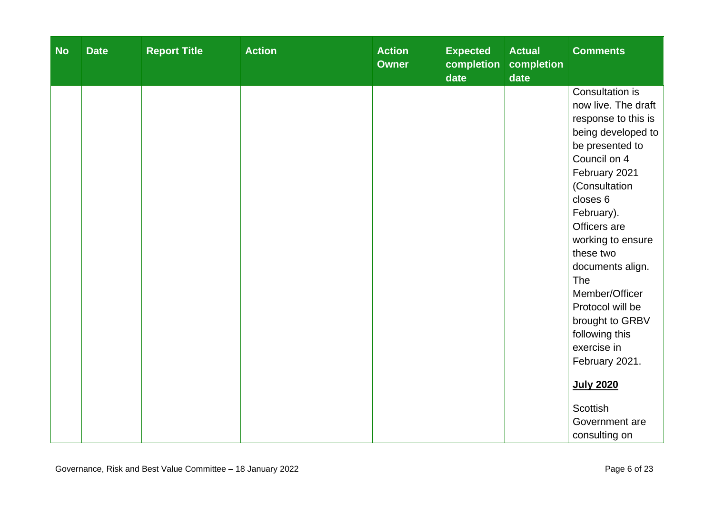| <b>No</b> | <b>Date</b> | <b>Report Title</b> | <b>Action</b> | <b>Action</b><br><b>Owner</b> | <b>Expected</b><br>completion<br>date | <b>Actual</b><br>completion<br>date | <b>Comments</b>                       |
|-----------|-------------|---------------------|---------------|-------------------------------|---------------------------------------|-------------------------------------|---------------------------------------|
|           |             |                     |               |                               |                                       |                                     | Consultation is                       |
|           |             |                     |               |                               |                                       |                                     | now live. The draft                   |
|           |             |                     |               |                               |                                       |                                     | response to this is                   |
|           |             |                     |               |                               |                                       |                                     | being developed to<br>be presented to |
|           |             |                     |               |                               |                                       |                                     | Council on 4                          |
|           |             |                     |               |                               |                                       |                                     | February 2021                         |
|           |             |                     |               |                               |                                       |                                     | (Consultation                         |
|           |             |                     |               |                               |                                       |                                     | closes 6                              |
|           |             |                     |               |                               |                                       |                                     | February).                            |
|           |             |                     |               |                               |                                       |                                     | Officers are                          |
|           |             |                     |               |                               |                                       |                                     | working to ensure                     |
|           |             |                     |               |                               |                                       |                                     | these two                             |
|           |             |                     |               |                               |                                       |                                     | documents align.                      |
|           |             |                     |               |                               |                                       |                                     | The                                   |
|           |             |                     |               |                               |                                       |                                     | Member/Officer                        |
|           |             |                     |               |                               |                                       |                                     | Protocol will be                      |
|           |             |                     |               |                               |                                       |                                     | brought to GRBV                       |
|           |             |                     |               |                               |                                       |                                     | following this                        |
|           |             |                     |               |                               |                                       |                                     | exercise in                           |
|           |             |                     |               |                               |                                       |                                     | February 2021.                        |
|           |             |                     |               |                               |                                       |                                     | <b>July 2020</b>                      |
|           |             |                     |               |                               |                                       |                                     | <b>Scottish</b>                       |
|           |             |                     |               |                               |                                       |                                     | Government are                        |
|           |             |                     |               |                               |                                       |                                     | consulting on                         |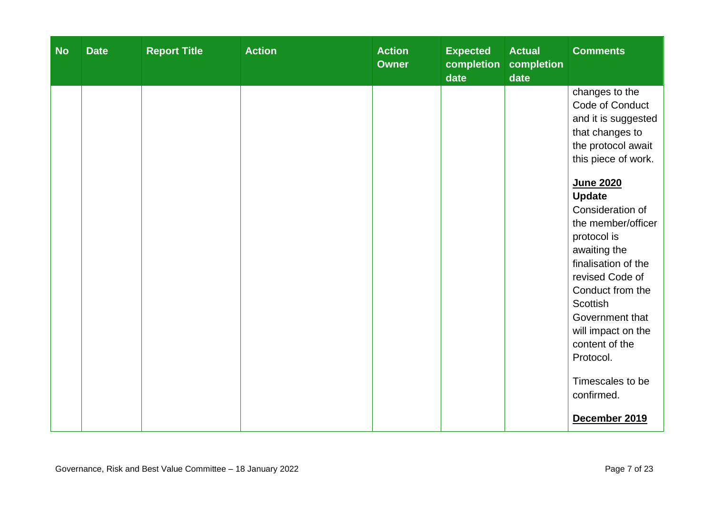| <b>No</b> | <b>Date</b> | <b>Report Title</b> | <b>Action</b> | <b>Action</b><br><b>Owner</b> | <b>Expected</b><br>completion<br>date | <b>Actual</b><br>completion<br>date | <b>Comments</b>                                                                                                                                                                                                                                                                                                                                                                                                                                    |
|-----------|-------------|---------------------|---------------|-------------------------------|---------------------------------------|-------------------------------------|----------------------------------------------------------------------------------------------------------------------------------------------------------------------------------------------------------------------------------------------------------------------------------------------------------------------------------------------------------------------------------------------------------------------------------------------------|
|           |             |                     |               |                               |                                       |                                     | changes to the<br>Code of Conduct<br>and it is suggested<br>that changes to<br>the protocol await<br>this piece of work.<br><b>June 2020</b><br><b>Update</b><br>Consideration of<br>the member/officer<br>protocol is<br>awaiting the<br>finalisation of the<br>revised Code of<br>Conduct from the<br><b>Scottish</b><br>Government that<br>will impact on the<br>content of the<br>Protocol.<br>Timescales to be<br>confirmed.<br>December 2019 |
|           |             |                     |               |                               |                                       |                                     |                                                                                                                                                                                                                                                                                                                                                                                                                                                    |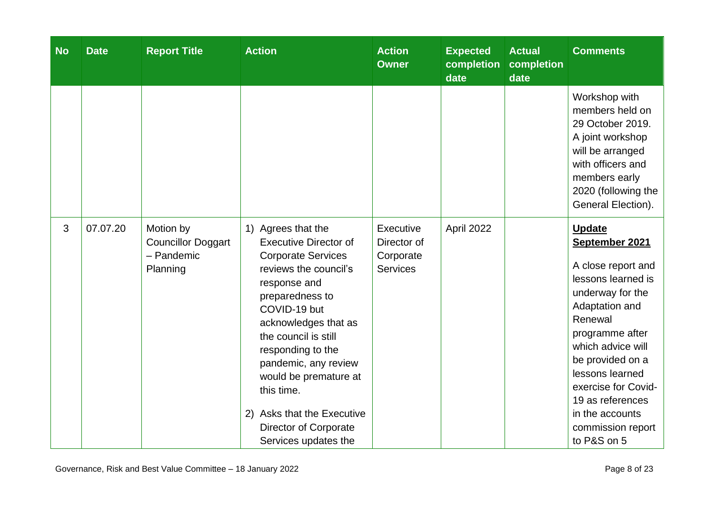| <b>No</b> | <b>Date</b> | <b>Report Title</b>                                              | <b>Action</b>                                                                                                                                                                                                                                                                                                                                                                         | <b>Action</b><br><b>Owner</b>                            | <b>Expected</b><br>completion<br>date | <b>Actual</b><br>completion<br>date | <b>Comments</b>                                                                                                                                                                                                                                                                                               |
|-----------|-------------|------------------------------------------------------------------|---------------------------------------------------------------------------------------------------------------------------------------------------------------------------------------------------------------------------------------------------------------------------------------------------------------------------------------------------------------------------------------|----------------------------------------------------------|---------------------------------------|-------------------------------------|---------------------------------------------------------------------------------------------------------------------------------------------------------------------------------------------------------------------------------------------------------------------------------------------------------------|
|           |             |                                                                  |                                                                                                                                                                                                                                                                                                                                                                                       |                                                          |                                       |                                     | Workshop with<br>members held on<br>29 October 2019.<br>A joint workshop<br>will be arranged<br>with officers and<br>members early<br>2020 (following the<br>General Election).                                                                                                                               |
| 3         | 07.07.20    | Motion by<br><b>Councillor Doggart</b><br>- Pandemic<br>Planning | 1) Agrees that the<br><b>Executive Director of</b><br><b>Corporate Services</b><br>reviews the council's<br>response and<br>preparedness to<br>COVID-19 but<br>acknowledges that as<br>the council is still<br>responding to the<br>pandemic, any review<br>would be premature at<br>this time.<br>2) Asks that the Executive<br><b>Director of Corporate</b><br>Services updates the | Executive<br>Director of<br>Corporate<br><b>Services</b> | April 2022                            |                                     | <b>Update</b><br>September 2021<br>A close report and<br>lessons learned is<br>underway for the<br>Adaptation and<br>Renewal<br>programme after<br>which advice will<br>be provided on a<br>lessons learned<br>exercise for Covid-<br>19 as references<br>in the accounts<br>commission report<br>to P&S on 5 |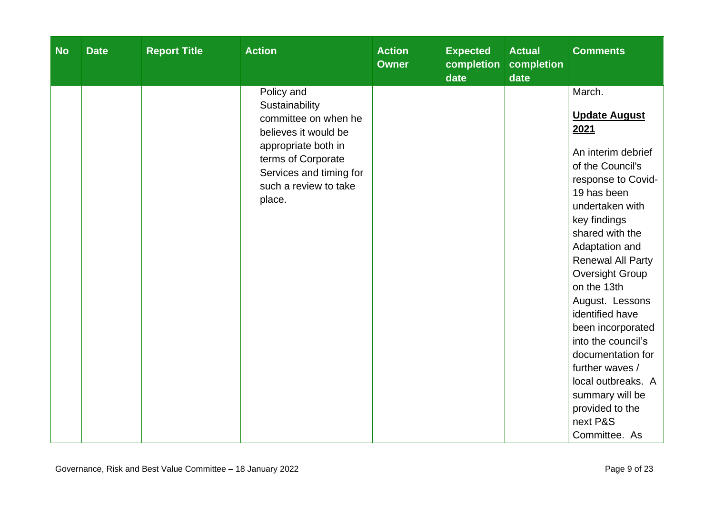| <b>No</b> | <b>Date</b> | <b>Report Title</b> | <b>Action</b>                                                                                                                                                                           | <b>Action</b><br><b>Owner</b> | <b>Expected</b><br>completion<br>date | <b>Actual</b><br>completion<br>date | <b>Comments</b>                                                                                                                                                                                                                                                                                                                                                                                                                                                               |
|-----------|-------------|---------------------|-----------------------------------------------------------------------------------------------------------------------------------------------------------------------------------------|-------------------------------|---------------------------------------|-------------------------------------|-------------------------------------------------------------------------------------------------------------------------------------------------------------------------------------------------------------------------------------------------------------------------------------------------------------------------------------------------------------------------------------------------------------------------------------------------------------------------------|
|           |             |                     | Policy and<br>Sustainability<br>committee on when he<br>believes it would be<br>appropriate both in<br>terms of Corporate<br>Services and timing for<br>such a review to take<br>place. |                               |                                       |                                     | March.<br><b>Update August</b><br>2021<br>An interim debrief<br>of the Council's<br>response to Covid-<br>19 has been<br>undertaken with<br>key findings<br>shared with the<br>Adaptation and<br><b>Renewal All Party</b><br>Oversight Group<br>on the 13th<br>August. Lessons<br>identified have<br>been incorporated<br>into the council's<br>documentation for<br>further waves /<br>local outbreaks. A<br>summary will be<br>provided to the<br>next P&S<br>Committee. As |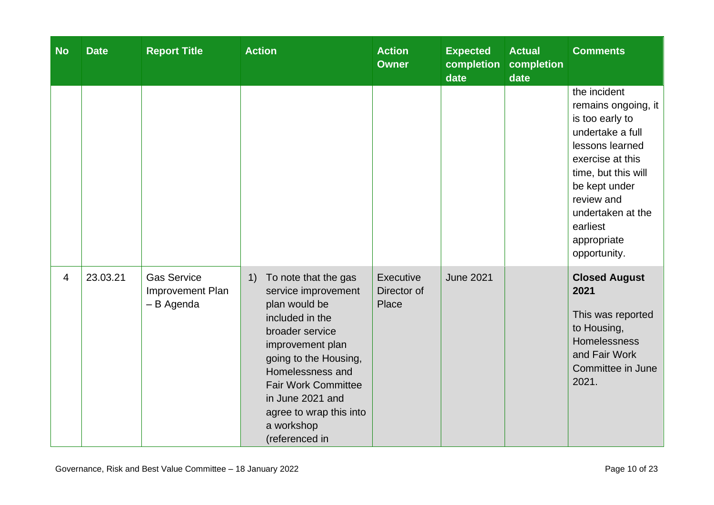| <b>No</b>      | <b>Date</b> | <b>Report Title</b>                                  | <b>Action</b>                                                                                                                                                                                                                                                                          | <b>Action</b><br><b>Owner</b>     | <b>Expected</b><br>completion<br>date | <b>Actual</b><br>completion<br>date | <b>Comments</b>                                                                                                                                                                                                                         |
|----------------|-------------|------------------------------------------------------|----------------------------------------------------------------------------------------------------------------------------------------------------------------------------------------------------------------------------------------------------------------------------------------|-----------------------------------|---------------------------------------|-------------------------------------|-----------------------------------------------------------------------------------------------------------------------------------------------------------------------------------------------------------------------------------------|
|                |             |                                                      |                                                                                                                                                                                                                                                                                        |                                   |                                       |                                     | the incident<br>remains ongoing, it<br>is too early to<br>undertake a full<br>lessons learned<br>exercise at this<br>time, but this will<br>be kept under<br>review and<br>undertaken at the<br>earliest<br>appropriate<br>opportunity. |
| $\overline{4}$ | 23.03.21    | <b>Gas Service</b><br>Improvement Plan<br>- B Agenda | To note that the gas<br>1)<br>service improvement<br>plan would be<br>included in the<br>broader service<br>improvement plan<br>going to the Housing,<br>Homelessness and<br><b>Fair Work Committee</b><br>in June 2021 and<br>agree to wrap this into<br>a workshop<br>(referenced in | Executive<br>Director of<br>Place | <b>June 2021</b>                      |                                     | <b>Closed August</b><br>2021<br>This was reported<br>to Housing,<br><b>Homelessness</b><br>and Fair Work<br>Committee in June<br>2021.                                                                                                  |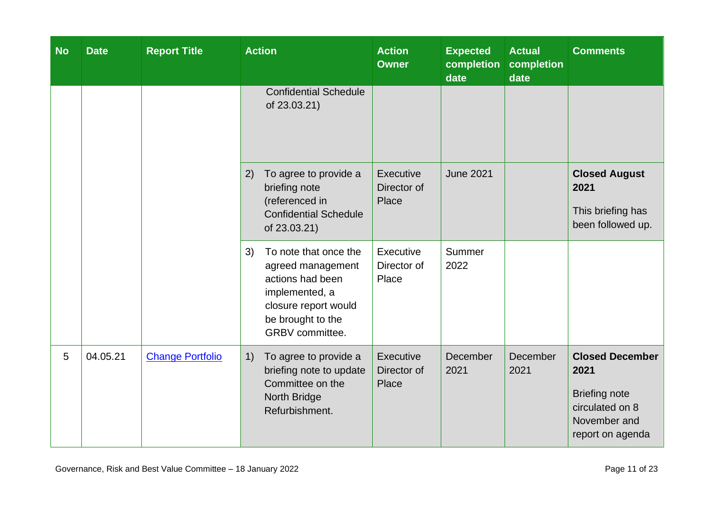| <b>No</b> | <b>Date</b> | <b>Report Title</b>     | <b>Action</b>                                                                                                                                          | <b>Action</b><br><b>Owner</b>     | <b>Expected</b><br>completion<br>date | <b>Actual</b><br>completion<br>date | <b>Comments</b>                                                                                               |
|-----------|-------------|-------------------------|--------------------------------------------------------------------------------------------------------------------------------------------------------|-----------------------------------|---------------------------------------|-------------------------------------|---------------------------------------------------------------------------------------------------------------|
|           |             |                         | <b>Confidential Schedule</b><br>of 23.03.21)                                                                                                           |                                   |                                       |                                     |                                                                                                               |
|           |             |                         | To agree to provide a<br>2)<br>briefing note<br>(referenced in<br><b>Confidential Schedule</b><br>of 23.03.21)                                         | Executive<br>Director of<br>Place | <b>June 2021</b>                      |                                     | <b>Closed August</b><br>2021<br>This briefing has<br>been followed up.                                        |
|           |             |                         | To note that once the<br>3)<br>agreed management<br>actions had been<br>implemented, a<br>closure report would<br>be brought to the<br>GRBV committee. | Executive<br>Director of<br>Place | Summer<br>2022                        |                                     |                                                                                                               |
| 5         | 04.05.21    | <b>Change Portfolio</b> | To agree to provide a<br>1)<br>briefing note to update<br>Committee on the<br>North Bridge<br>Refurbishment.                                           | Executive<br>Director of<br>Place | December<br>2021                      | December<br>2021                    | <b>Closed December</b><br>2021<br><b>Briefing note</b><br>circulated on 8<br>November and<br>report on agenda |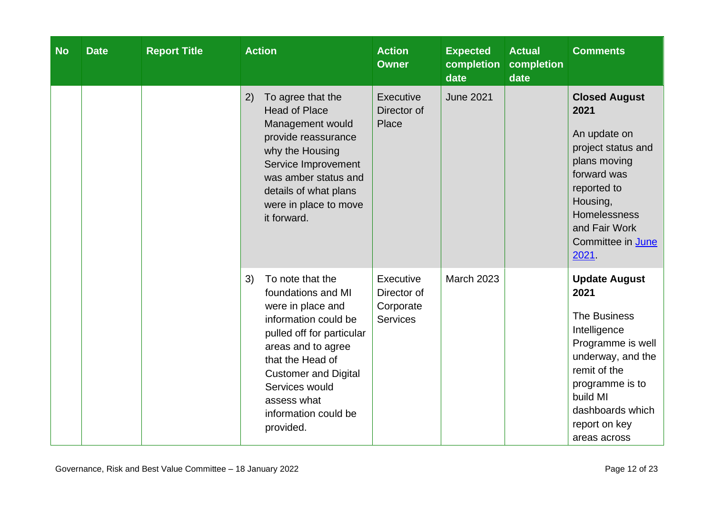| <b>No</b> | <b>Date</b> | <b>Report Title</b> | <b>Action</b>                                                                                                                                                                                                                                                         | <b>Action</b><br><b>Owner</b>                            | <b>Expected</b><br>completion<br>date | <b>Actual</b><br>completion<br>date | <b>Comments</b>                                                                                                                                                                                            |
|-----------|-------------|---------------------|-----------------------------------------------------------------------------------------------------------------------------------------------------------------------------------------------------------------------------------------------------------------------|----------------------------------------------------------|---------------------------------------|-------------------------------------|------------------------------------------------------------------------------------------------------------------------------------------------------------------------------------------------------------|
|           |             |                     | 2)<br>To agree that the<br><b>Head of Place</b><br>Management would<br>provide reassurance<br>why the Housing<br>Service Improvement<br>was amber status and<br>details of what plans<br>were in place to move<br>it forward.                                         | Executive<br>Director of<br>Place                        | <b>June 2021</b>                      |                                     | <b>Closed August</b><br>2021<br>An update on<br>project status and<br>plans moving<br>forward was<br>reported to<br>Housing,<br>Homelessness<br>and Fair Work<br>Committee in June<br>2021.                |
|           |             |                     | To note that the<br>3)<br>foundations and MI<br>were in place and<br>information could be<br>pulled off for particular<br>areas and to agree<br>that the Head of<br><b>Customer and Digital</b><br>Services would<br>assess what<br>information could be<br>provided. | Executive<br>Director of<br>Corporate<br><b>Services</b> | <b>March 2023</b>                     |                                     | <b>Update August</b><br>2021<br>The Business<br>Intelligence<br>Programme is well<br>underway, and the<br>remit of the<br>programme is to<br>build MI<br>dashboards which<br>report on key<br>areas across |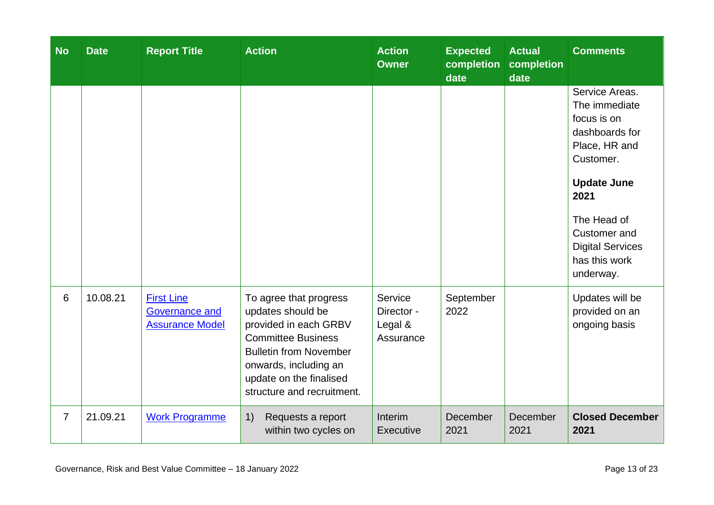| <b>No</b>      | <b>Date</b> | <b>Report Title</b>                                                  | <b>Action</b>                                                                                                                                                                                                        | <b>Action</b><br><b>Owner</b>                 | <b>Expected</b><br>completion<br>date | <b>Actual</b><br>completion<br>date | <b>Comments</b>                                                                                                                                                                                                      |
|----------------|-------------|----------------------------------------------------------------------|----------------------------------------------------------------------------------------------------------------------------------------------------------------------------------------------------------------------|-----------------------------------------------|---------------------------------------|-------------------------------------|----------------------------------------------------------------------------------------------------------------------------------------------------------------------------------------------------------------------|
|                |             |                                                                      |                                                                                                                                                                                                                      |                                               |                                       |                                     | Service Areas.<br>The immediate<br>focus is on<br>dashboards for<br>Place, HR and<br>Customer.<br><b>Update June</b><br>2021<br>The Head of<br>Customer and<br><b>Digital Services</b><br>has this work<br>underway. |
| 6              | 10.08.21    | <b>First Line</b><br><b>Governance and</b><br><b>Assurance Model</b> | To agree that progress<br>updates should be<br>provided in each GRBV<br><b>Committee Business</b><br><b>Bulletin from November</b><br>onwards, including an<br>update on the finalised<br>structure and recruitment. | Service<br>Director -<br>Legal &<br>Assurance | September<br>2022                     |                                     | Updates will be<br>provided on an<br>ongoing basis                                                                                                                                                                   |
| $\overline{7}$ | 21.09.21    | <b>Work Programme</b>                                                | 1)<br>Requests a report<br>within two cycles on                                                                                                                                                                      | Interim<br>Executive                          | December<br>2021                      | December<br>2021                    | <b>Closed December</b><br>2021                                                                                                                                                                                       |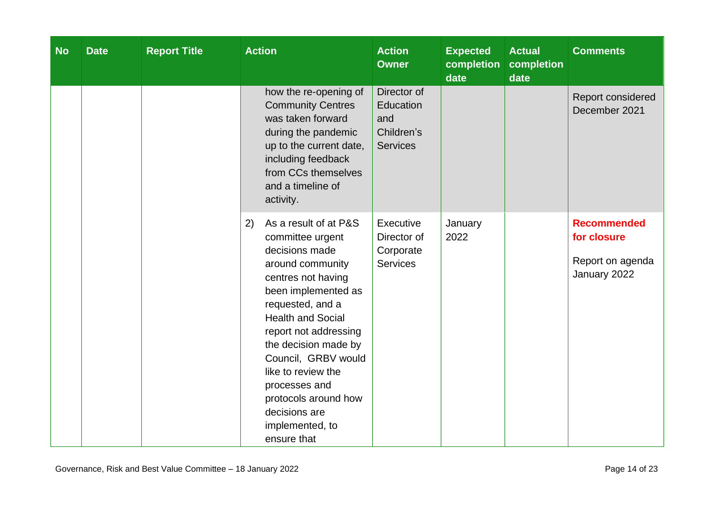| <b>No</b> | <b>Date</b> | <b>Report Title</b> | <b>Action</b>                                                                                                                                                                                                                                                                                                                                                                | <b>Action</b><br><b>Owner</b>                                    | <b>Expected</b><br>completion<br>date | <b>Actual</b><br>completion<br>date | <b>Comments</b>                                                       |
|-----------|-------------|---------------------|------------------------------------------------------------------------------------------------------------------------------------------------------------------------------------------------------------------------------------------------------------------------------------------------------------------------------------------------------------------------------|------------------------------------------------------------------|---------------------------------------|-------------------------------------|-----------------------------------------------------------------------|
|           |             |                     | how the re-opening of<br><b>Community Centres</b><br>was taken forward<br>during the pandemic<br>up to the current date,<br>including feedback<br>from CCs themselves<br>and a timeline of<br>activity.                                                                                                                                                                      | Director of<br>Education<br>and<br>Children's<br><b>Services</b> |                                       |                                     | Report considered<br>December 2021                                    |
|           |             |                     | As a result of at P&S<br>2)<br>committee urgent<br>decisions made<br>around community<br>centres not having<br>been implemented as<br>requested, and a<br><b>Health and Social</b><br>report not addressing<br>the decision made by<br>Council, GRBV would<br>like to review the<br>processes and<br>protocols around how<br>decisions are<br>implemented, to<br>ensure that | Executive<br>Director of<br>Corporate<br><b>Services</b>         | January<br>2022                       |                                     | <b>Recommended</b><br>for closure<br>Report on agenda<br>January 2022 |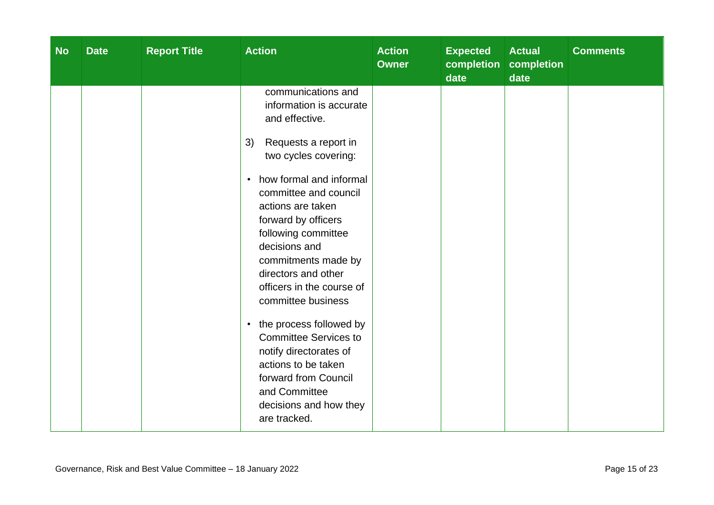| <b>No</b> | <b>Date</b> | <b>Report Title</b> | <b>Action</b>                                                                                                                                                                                                                                                                                                                                                                                                                                                                                                                                                                           | <b>Action</b><br><b>Owner</b> | <b>Expected</b><br>completion<br>date | <b>Actual</b><br>completion<br>date | <b>Comments</b> |
|-----------|-------------|---------------------|-----------------------------------------------------------------------------------------------------------------------------------------------------------------------------------------------------------------------------------------------------------------------------------------------------------------------------------------------------------------------------------------------------------------------------------------------------------------------------------------------------------------------------------------------------------------------------------------|-------------------------------|---------------------------------------|-------------------------------------|-----------------|
|           |             |                     | communications and<br>information is accurate<br>and effective.<br>Requests a report in<br>3)<br>two cycles covering:<br>how formal and informal<br>$\bullet$<br>committee and council<br>actions are taken<br>forward by officers<br>following committee<br>decisions and<br>commitments made by<br>directors and other<br>officers in the course of<br>committee business<br>the process followed by<br>$\bullet$<br><b>Committee Services to</b><br>notify directorates of<br>actions to be taken<br>forward from Council<br>and Committee<br>decisions and how they<br>are tracked. |                               |                                       |                                     |                 |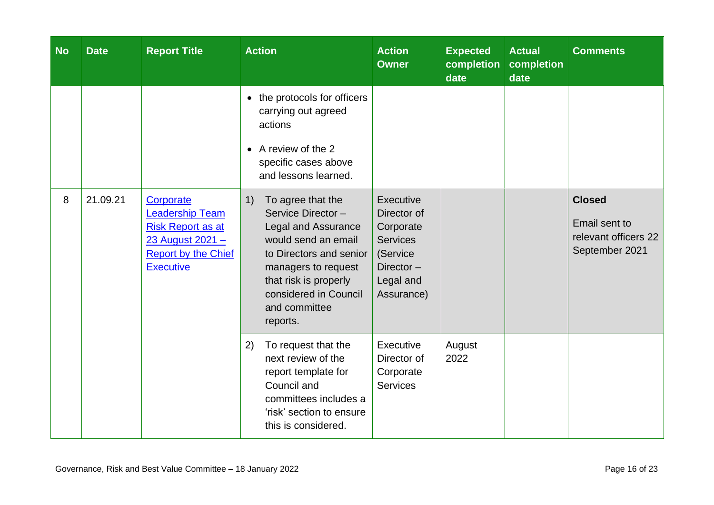| <b>No</b> | <b>Date</b> | <b>Report Title</b>                                                                                                                   | <b>Action</b>                                                                                                                                                                                                                      | <b>Action</b><br><b>Owner</b>                                                                                       | <b>Expected</b><br>completion<br>date | <b>Actual</b><br>completion<br>date | <b>Comments</b>                                                          |
|-----------|-------------|---------------------------------------------------------------------------------------------------------------------------------------|------------------------------------------------------------------------------------------------------------------------------------------------------------------------------------------------------------------------------------|---------------------------------------------------------------------------------------------------------------------|---------------------------------------|-------------------------------------|--------------------------------------------------------------------------|
|           |             |                                                                                                                                       | the protocols for officers<br>$\bullet$<br>carrying out agreed<br>actions<br>A review of the 2<br>$\bullet$<br>specific cases above<br>and lessons learned.                                                                        |                                                                                                                     |                                       |                                     |                                                                          |
| 8         | 21.09.21    | Corporate<br><b>Leadership Team</b><br><b>Risk Report as at</b><br>23 August 2021 -<br><b>Report by the Chief</b><br><b>Executive</b> | To agree that the<br>1)<br>Service Director-<br><b>Legal and Assurance</b><br>would send an email<br>to Directors and senior<br>managers to request<br>that risk is properly<br>considered in Council<br>and committee<br>reports. | <b>Executive</b><br>Director of<br>Corporate<br><b>Services</b><br>(Service<br>Director-<br>Legal and<br>Assurance) |                                       |                                     | <b>Closed</b><br>Email sent to<br>relevant officers 22<br>September 2021 |
|           |             |                                                                                                                                       | To request that the<br>2)<br>next review of the<br>report template for<br>Council and<br>committees includes a<br>'risk' section to ensure<br>this is considered.                                                                  | Executive<br>Director of<br>Corporate<br><b>Services</b>                                                            | August<br>2022                        |                                     |                                                                          |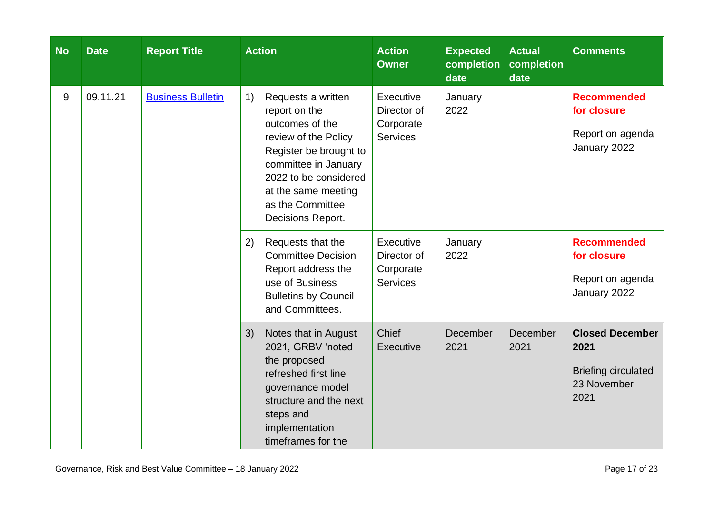| <b>No</b> | <b>Date</b> | <b>Report Title</b>      | <b>Action</b>                                                                                                                                                                                                                   | <b>Action</b><br><b>Owner</b>                            | <b>Expected</b><br>completion<br>date | <b>Actual</b><br>completion<br>date | <b>Comments</b>                                                                     |
|-----------|-------------|--------------------------|---------------------------------------------------------------------------------------------------------------------------------------------------------------------------------------------------------------------------------|----------------------------------------------------------|---------------------------------------|-------------------------------------|-------------------------------------------------------------------------------------|
| 9         | 09.11.21    | <b>Business Bulletin</b> | 1)<br>Requests a written<br>report on the<br>outcomes of the<br>review of the Policy<br>Register be brought to<br>committee in January<br>2022 to be considered<br>at the same meeting<br>as the Committee<br>Decisions Report. | Executive<br>Director of<br>Corporate<br><b>Services</b> | January<br>2022                       |                                     | <b>Recommended</b><br>for closure<br>Report on agenda<br>January 2022               |
|           |             |                          | Requests that the<br>2)<br><b>Committee Decision</b><br>Report address the<br>use of Business<br><b>Bulletins by Council</b><br>and Committees.                                                                                 | Executive<br>Director of<br>Corporate<br><b>Services</b> | January<br>2022                       |                                     | <b>Recommended</b><br>for closure<br>Report on agenda<br>January 2022               |
|           |             |                          | Notes that in August<br>3)<br>2021, GRBV 'noted<br>the proposed<br>refreshed first line<br>governance model<br>structure and the next<br>steps and<br>implementation<br>timeframes for the                                      | Chief<br>Executive                                       | December<br>2021                      | December<br>2021                    | <b>Closed December</b><br>2021<br><b>Briefing circulated</b><br>23 November<br>2021 |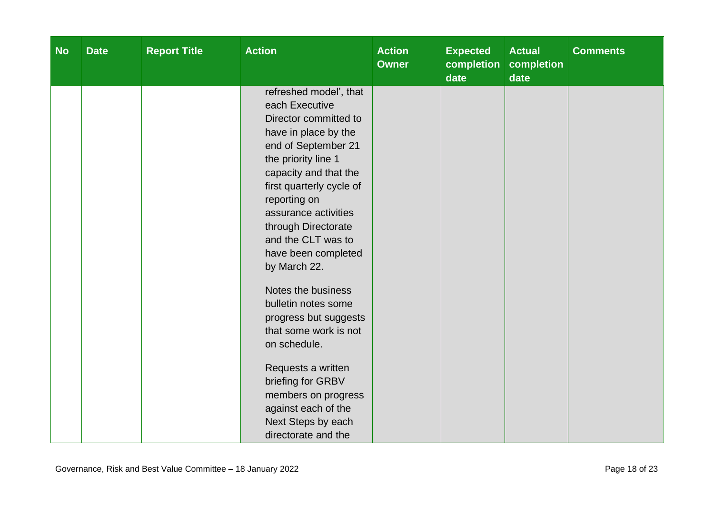| <b>No</b> | <b>Date</b> | <b>Report Title</b> | <b>Action</b>                                                                                                                                                                                                                                                                                                                                                                                                                                                                                                                                                                 | <b>Action</b><br><b>Owner</b> | <b>Expected</b><br>completion<br>date | <b>Actual</b><br>completion<br>date | <b>Comments</b> |
|-----------|-------------|---------------------|-------------------------------------------------------------------------------------------------------------------------------------------------------------------------------------------------------------------------------------------------------------------------------------------------------------------------------------------------------------------------------------------------------------------------------------------------------------------------------------------------------------------------------------------------------------------------------|-------------------------------|---------------------------------------|-------------------------------------|-----------------|
|           |             |                     | refreshed model', that<br>each Executive<br>Director committed to<br>have in place by the<br>end of September 21<br>the priority line 1<br>capacity and that the<br>first quarterly cycle of<br>reporting on<br>assurance activities<br>through Directorate<br>and the CLT was to<br>have been completed<br>by March 22.<br>Notes the business<br>bulletin notes some<br>progress but suggests<br>that some work is not<br>on schedule.<br>Requests a written<br>briefing for GRBV<br>members on progress<br>against each of the<br>Next Steps by each<br>directorate and the |                               |                                       |                                     |                 |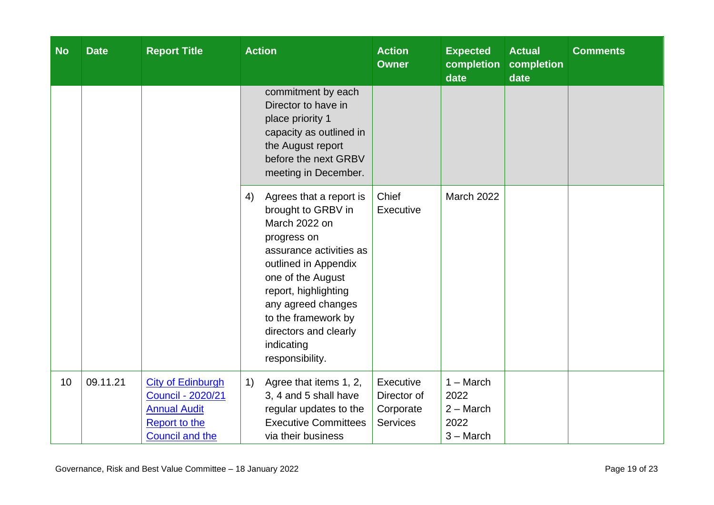| <b>No</b> | <b>Date</b> | <b>Report Title</b>                                                                                                                                           | <b>Action</b>                                                                                                                                                                                                                                                                              | <b>Action</b><br><b>Owner</b>                            | <b>Expected</b><br>completion<br>date                     | <b>Actual</b><br>completion<br>date | <b>Comments</b> |
|-----------|-------------|---------------------------------------------------------------------------------------------------------------------------------------------------------------|--------------------------------------------------------------------------------------------------------------------------------------------------------------------------------------------------------------------------------------------------------------------------------------------|----------------------------------------------------------|-----------------------------------------------------------|-------------------------------------|-----------------|
|           |             | commitment by each<br>Director to have in<br>place priority 1<br>capacity as outlined in<br>the August report<br>before the next GRBV<br>meeting in December. |                                                                                                                                                                                                                                                                                            |                                                          |                                                           |                                     |                 |
|           |             |                                                                                                                                                               | Agrees that a report is<br>4)<br>brought to GRBV in<br>March 2022 on<br>progress on<br>assurance activities as<br>outlined in Appendix<br>one of the August<br>report, highlighting<br>any agreed changes<br>to the framework by<br>directors and clearly<br>indicating<br>responsibility. | Chief<br>Executive                                       | March 2022                                                |                                     |                 |
| 10        | 09.11.21    | <b>City of Edinburgh</b><br><b>Council - 2020/21</b><br><b>Annual Audit</b><br><b>Report to the</b><br><b>Council and the</b>                                 | Agree that items 1, 2,<br>1)<br>3, 4 and 5 shall have<br>regular updates to the<br><b>Executive Committees</b><br>via their business                                                                                                                                                       | Executive<br>Director of<br>Corporate<br><b>Services</b> | $1 - March$<br>2022<br>$2 - March$<br>2022<br>$3 - March$ |                                     |                 |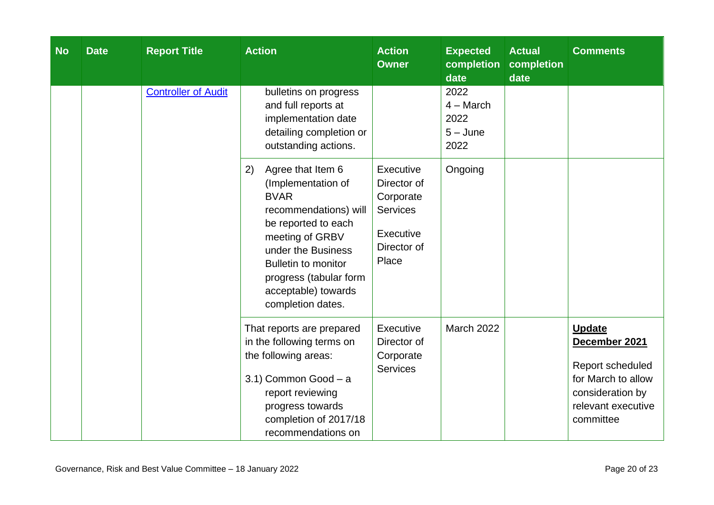| <b>No</b> | <b>Date</b>                | <b>Report Title</b>                                                                                                                                                                                                                                       | <b>Action</b>                                                                                 | <b>Action</b><br><b>Owner</b>                     | <b>Expected</b><br>completion<br>date | <b>Actual</b><br>completion<br>date                                                                                             | <b>Comments</b> |
|-----------|----------------------------|-----------------------------------------------------------------------------------------------------------------------------------------------------------------------------------------------------------------------------------------------------------|-----------------------------------------------------------------------------------------------|---------------------------------------------------|---------------------------------------|---------------------------------------------------------------------------------------------------------------------------------|-----------------|
|           | <b>Controller of Audit</b> | bulletins on progress<br>and full reports at<br>implementation date<br>detailing completion or<br>outstanding actions.                                                                                                                                    |                                                                                               | 2022<br>$4 - March$<br>2022<br>$5 - June$<br>2022 |                                       |                                                                                                                                 |                 |
|           |                            | Agree that Item 6<br>2)<br>(Implementation of<br><b>BVAR</b><br>recommendations) will<br>be reported to each<br>meeting of GRBV<br>under the Business<br><b>Bulletin to monitor</b><br>progress (tabular form<br>acceptable) towards<br>completion dates. | Executive<br>Director of<br>Corporate<br><b>Services</b><br>Executive<br>Director of<br>Place | Ongoing                                           |                                       |                                                                                                                                 |                 |
|           |                            | That reports are prepared<br>in the following terms on<br>the following areas:<br>3.1) Common Good - a<br>report reviewing<br>progress towards<br>completion of 2017/18<br>recommendations on                                                             | Executive<br>Director of<br>Corporate<br><b>Services</b>                                      | <b>March 2022</b>                                 |                                       | <b>Update</b><br>December 2021<br>Report scheduled<br>for March to allow<br>consideration by<br>relevant executive<br>committee |                 |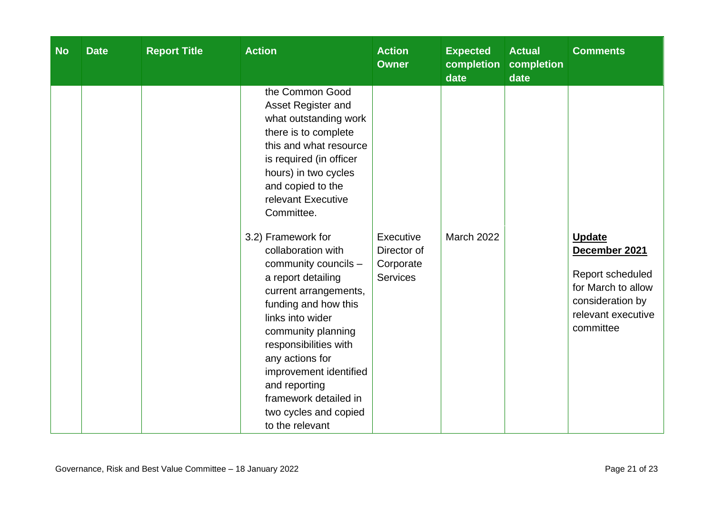| <b>No</b> | <b>Date</b> | <b>Report Title</b> | <b>Action</b>                                                                                                                                                                                                                                                                                                                                 | <b>Action</b><br><b>Owner</b>                            | <b>Expected</b><br>completion<br>date | <b>Actual</b><br>completion<br>date | <b>Comments</b>                                                                                                                 |
|-----------|-------------|---------------------|-----------------------------------------------------------------------------------------------------------------------------------------------------------------------------------------------------------------------------------------------------------------------------------------------------------------------------------------------|----------------------------------------------------------|---------------------------------------|-------------------------------------|---------------------------------------------------------------------------------------------------------------------------------|
|           |             |                     | the Common Good<br>Asset Register and<br>what outstanding work<br>there is to complete<br>this and what resource<br>is required (in officer<br>hours) in two cycles<br>and copied to the<br>relevant Executive<br>Committee.                                                                                                                  |                                                          |                                       |                                     |                                                                                                                                 |
|           |             |                     | 3.2) Framework for<br>collaboration with<br>community councils -<br>a report detailing<br>current arrangements,<br>funding and how this<br>links into wider<br>community planning<br>responsibilities with<br>any actions for<br>improvement identified<br>and reporting<br>framework detailed in<br>two cycles and copied<br>to the relevant | Executive<br>Director of<br>Corporate<br><b>Services</b> | <b>March 2022</b>                     |                                     | <b>Update</b><br>December 2021<br>Report scheduled<br>for March to allow<br>consideration by<br>relevant executive<br>committee |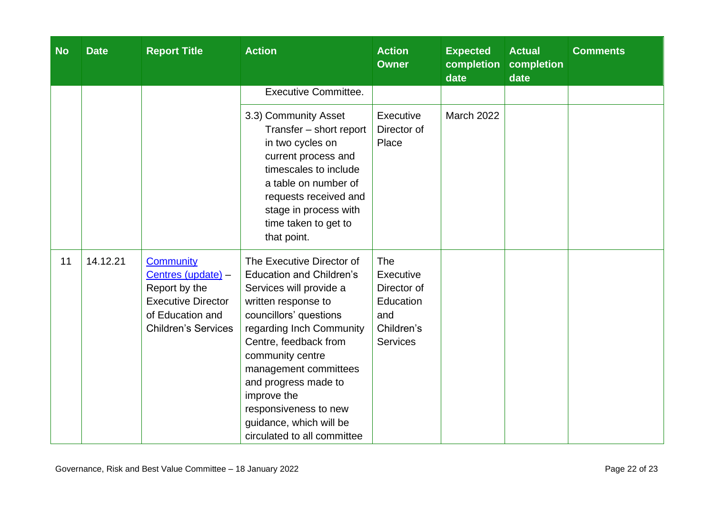| <b>No</b> | <b>Date</b> | <b>Report Title</b>                                                                                                             | <b>Action</b>                                                                                                                                                                                                                                                                                                                                                        | <b>Action</b><br><b>Owner</b>                                                        | <b>Expected</b><br>completion<br>date | <b>Actual</b><br>completion<br>date | <b>Comments</b> |
|-----------|-------------|---------------------------------------------------------------------------------------------------------------------------------|----------------------------------------------------------------------------------------------------------------------------------------------------------------------------------------------------------------------------------------------------------------------------------------------------------------------------------------------------------------------|--------------------------------------------------------------------------------------|---------------------------------------|-------------------------------------|-----------------|
|           |             |                                                                                                                                 | <b>Executive Committee.</b>                                                                                                                                                                                                                                                                                                                                          |                                                                                      |                                       |                                     |                 |
|           |             |                                                                                                                                 | 3.3) Community Asset<br>Transfer - short report<br>in two cycles on<br>current process and<br>timescales to include<br>a table on number of<br>requests received and<br>stage in process with<br>time taken to get to<br>that point.                                                                                                                                 | Executive<br>Director of<br>Place                                                    | <b>March 2022</b>                     |                                     |                 |
| 11        | 14.12.21    | Community<br>Centres (update) -<br>Report by the<br><b>Executive Director</b><br>of Education and<br><b>Children's Services</b> | The Executive Director of<br><b>Education and Children's</b><br>Services will provide a<br>written response to<br>councillors' questions<br>regarding Inch Community<br>Centre, feedback from<br>community centre<br>management committees<br>and progress made to<br>improve the<br>responsiveness to new<br>guidance, which will be<br>circulated to all committee | The<br>Executive<br>Director of<br>Education<br>and<br>Children's<br><b>Services</b> |                                       |                                     |                 |